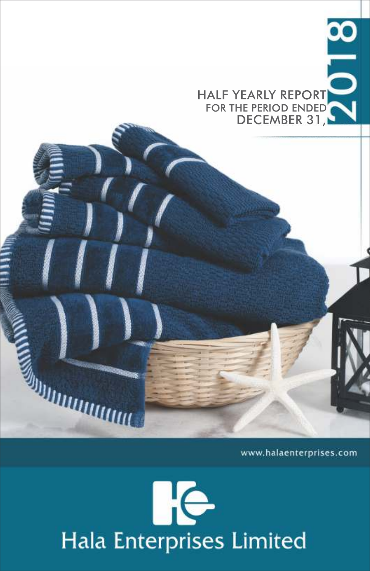HALF YEARLY REPORT FOR THE PERIOD ENDED" DECEMBER 31,

www.halaenterprises.com

# **IKe** Hala Enterprises Limited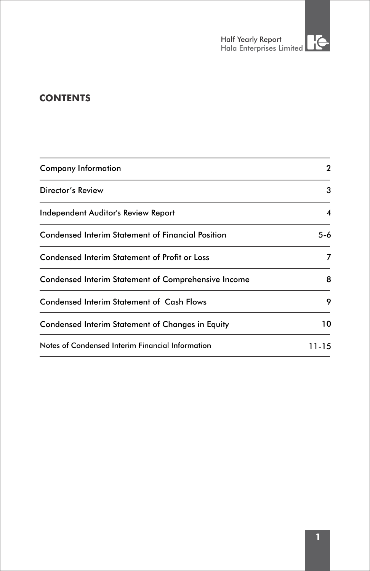# **CONTENTS**

| Company Information                                      | 2     |
|----------------------------------------------------------|-------|
| Director's Review                                        | 3     |
| Independent Auditor's Review Report                      | 4     |
| <b>Condensed Interim Statement of Financial Position</b> | 5-6   |
| <b>Condensed Interim Statement of Profit or Loss</b>     |       |
| Condensed Interim Statement of Comprehensive Income      | 8     |
| <b>Condensed Interim Statement of Cash Flows</b>         | 9     |
| Condensed Interim Statement of Changes in Equity         | 10    |
| Notes of Condensed Interim Financial Information         | 11-15 |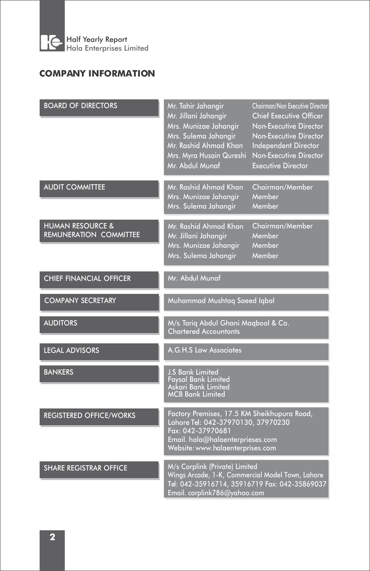

# **COMPANY INFORMATION**

| <b>BOARD OF DIRECTORS</b>                                    | Mr. Tahir Jahangir<br>Mr. Jillani Jahangir<br>Mrs. Munizae Jahangir<br>Mrs. Sulema Jahangir<br>Mr. Rashid Ahmad Khan<br>Mrs. Myra Husain Qureshi<br>Mr. Abdul Munaf            | Chairman/Non Executive Director<br><b>Chief Executive Officer</b><br>Non-Executive Director<br>Non-Executive Director<br><b>Independent Director</b><br>Non-Executive Director<br><b>Executive Director</b> |  |  |  |  |
|--------------------------------------------------------------|--------------------------------------------------------------------------------------------------------------------------------------------------------------------------------|-------------------------------------------------------------------------------------------------------------------------------------------------------------------------------------------------------------|--|--|--|--|
| <b>AUDIT COMMITTEE</b>                                       | Mr. Rashid Ahmad Khan<br>Mrs. Munizae Jahangir<br>Mrs. Sulema Jahangir                                                                                                         | Chairman/Member<br>Member<br>Member                                                                                                                                                                         |  |  |  |  |
| <b>HUMAN RESOURCE &amp;</b><br><b>REMUNERATION COMMITTEE</b> | Mr. Rashid Ahmad Khan<br>Mr. Jillani Jahangir<br>Mrs. Munizae Jahangir<br>Mrs. Sulema Jahangir                                                                                 | Chairman/Member<br>Member<br>Member<br>Member                                                                                                                                                               |  |  |  |  |
| <b>CHIEF FINANCIAL OFFICER</b>                               | Mr. Abdul Munaf                                                                                                                                                                |                                                                                                                                                                                                             |  |  |  |  |
| <b>COMPANY SECRETARY</b>                                     | Muhammad Mushtaq Saeed Iqbal                                                                                                                                                   |                                                                                                                                                                                                             |  |  |  |  |
| <b>AUDITORS</b>                                              | M/s. Tariq Abdul Ghani Maqbool & Co.<br><b>Chartered Accountants</b>                                                                                                           |                                                                                                                                                                                                             |  |  |  |  |
| <b>LEGAL ADVISORS</b>                                        | A.G.H.S Law Associates                                                                                                                                                         |                                                                                                                                                                                                             |  |  |  |  |
| <b>BANKERS</b>                                               | <b>J.S Bank Limited</b><br><b>Favsal Bank Limited</b><br>Askari Bank Limited<br><b>MCB Bank Limited</b>                                                                        |                                                                                                                                                                                                             |  |  |  |  |
| <b>REGISTERED OFFICE/WORKS</b>                               | Factory Premises, 17.5 KM Sheikhupura Road,<br>Lahore Tel: 042-37970130, 37970230<br>Fax: 042-37970681<br>Email. hala@halaenterprieses.com<br>Website: www.halaenterprises.com |                                                                                                                                                                                                             |  |  |  |  |
| <b>SHARE REGISTRAR OFFICE</b>                                | M/s Corplink (Private) Limited<br>Wings Arcade, 1-K, Commercial Model Town, Lahore<br>Tel: 042-35916714, 35916719 Fax: 042-35869037<br>Email. corplink786@yahoo.com            |                                                                                                                                                                                                             |  |  |  |  |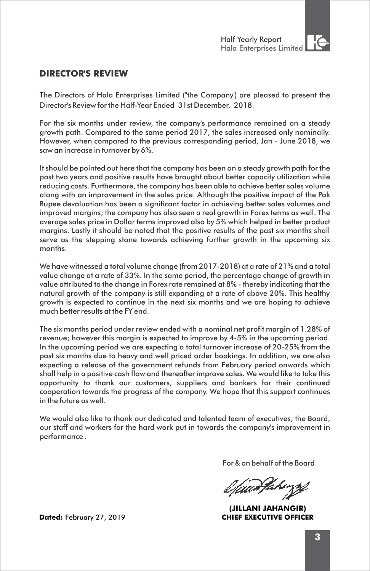

# **DIRECTOR'S REVIEW**

The Directors of Hala Enterprises Limited ("the Company') are pleased to present the Director's Review for the Half-Year Ended 31st December, 2018.

For the six months under review, the company's performance remained on a steady growth path. Compared to the same period 2017, the sales increased only nominally. However, when compared to the previous corresponding period, Jan - June 2018, we saw an increase in turnover by 6%.

It should be pointed out here that the company has been on a steady growth path for the past two years and positive results have brought about better capacity utilization while reducing costs. Furthermore, the company has been able to achieve better sales volume along with an improvement in the sales price. Although the positive impact of the Pak Rupee devaluation has been a significant factor in achieving better sales volumes and improved margins; the company has also seen a real growth in Forex terms as well. The average sales price in Dollar terms improved also by 5% which helped in better product margins. Lastly it should be noted that the positive results of the past six months shall serve as the stepping stone towards achieving further growth in the upcoming six months.

We have witnessed a total volume change (from 2017-2018) at a rate of 21% and a total value change at a rate of 33%. In the same period, the percentage change of growth in value attributed to the change in Forex rate remained at 8% - thereby indicating that the natural growth of the company is still expanding at a rate of above 20%. This healthy growth is expected to continue in the next six months and we are hoping to achieve much better results at the FY end.

The six months period under review ended with a nominal net profit margin of 1.28% of revenue; however this margin is expected to improve by 4-5% in the upcoming period. In the upcoming period we are expecting a total turnover increase of 20-25% from the past six months due to heavy and well priced order bookings. In addition, we are also expecting a release of the government refunds from February period onwards which shall help in a positive cash flow and thereafter improve sales. We would like to take this opportunity to thank our customers, suppliers and bankers for their continued cooperation towards the progress of the company. We hope that this support continues in the future as well.

We would also like to thank our dedicated and talented team of executives, the Board, our staff and workers for the hard work put in towards the company's improvement in performance .

For & on behalf of the Board

**(JILLANI JAHANGIR) Dated:** February 27, 2019 **CHIEF EXECUTIVE OFFICER**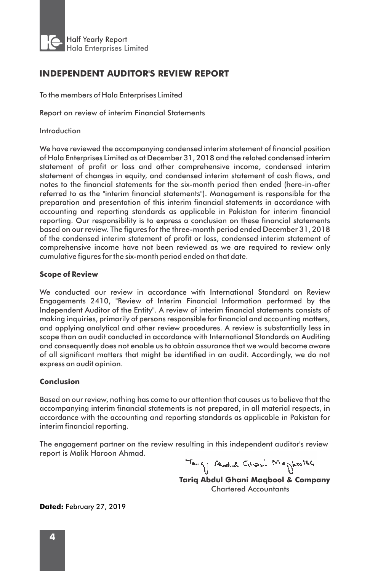

# **INDEPENDENT AUDITOR'S REVIEW REPORT**

To the members of Hala Enterprises Limited

Report on review of interim Financial Statements

Introduction

We have reviewed the accompanying condensed interim statement of financial position of Hala Enterprises Limited as at December 31, 2018 and the related condensed interim statement of profit or loss and other comprehensive income, condensed interim statement of changes in equity, and condensed interim statement of cash flows, and notes to the financial statements for the six-month period then ended (here-in-after referred to as the "interim financial statements"). Management is responsible for the preparation and presentation of this interim financial statements in accordance with accounting and reporting standards as applicable in Pakistan for interim financial reporting. Our responsibility is to express a conclusion on these financial statements based on our review. The figures for the three-month period ended December 31, 2018 of the condensed interim statement of profit or loss, condensed interim statement of comprehensive income have not been reviewed as we are required to review only cumulative figures for the six-month period ended on that date.

#### **Scope of Review**

We conducted our review in accordance with International Standard on Review Engagements 2410, "Review of Interim Financial Information performed by the Independent Auditor of the Entity". A review of interim financial statements consists of making inquiries, primarily of persons responsible for financial and accounting matters, and applying analytical and other review procedures. A review is substantially less in scope than an audit conducted in accordance with International Standards on Auditing and consequently does not enable us to obtain assurance that we would become aware of all significant matters that might be identified in an audit. Accordingly, we do not express an audit opinion.

#### **Conclusion**

Based on our review, nothing has come to our attention that causes us to believe that the accompanying interim financial statements is not prepared, in all material respects, in accordance with the accounting and reporting standards as applicable in Pakistan for interim financial reporting.

The engagement partner on the review resulting in this independent auditor's review report is Malik Haroon Ahmad.

Tang) Abadul Grom Magposise

**Tariq Abdul Ghani Maqbool & Company**  Chartered Accountants

**Dated:** February 27, 2019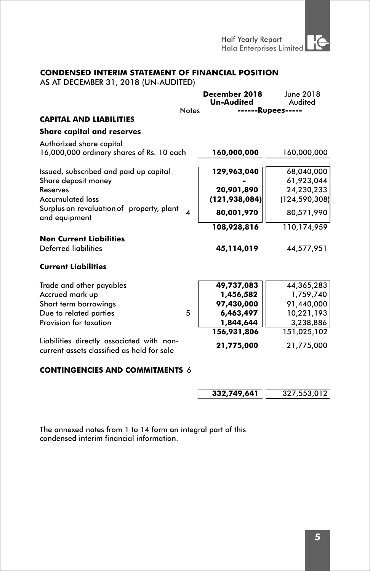Half Yearly Report ¦∈ Hala Enterprises Limited

## **CONDENSED INTERIM STATEMENT OF FINANCIAL POSITION**

AS AT DECEMBER 31, 2018 (UN-AUDITED)

|                                                                                         |                  | December 2018     | June 2018                |
|-----------------------------------------------------------------------------------------|------------------|-------------------|--------------------------|
|                                                                                         | <b>Notes</b>     | <b>Un-Audited</b> | Audited<br>-----Rupees-- |
| <b>CAPITAL AND LIABILITIES</b>                                                          |                  |                   |                          |
| <b>Share capital and reserves</b>                                                       |                  |                   |                          |
| Authorized share capital                                                                |                  |                   |                          |
| 16,000,000 ordinary shares of Rs. 10 each                                               |                  | 160,000,000       | 160,000,000              |
| Issued, subscribed and paid up capital                                                  |                  | 129,963,040       | 68,040,000               |
| Share deposit money                                                                     |                  |                   | 61,923,044               |
| Reserves                                                                                |                  | 20,901,890        | 24,230,233               |
| <b>Accumulated loss</b>                                                                 |                  | (121, 938, 084)   | (124, 590, 308)          |
| Surplus on revaluation of property, plant<br>and equipment                              | $\boldsymbol{A}$ | 80,001,970        | 80,571,990               |
|                                                                                         |                  | 108,928,816       | 110,174,959              |
| <b>Non Current Liabilities</b>                                                          |                  |                   |                          |
| Deferred liabilities                                                                    |                  | 45,114,019        | 44,577,951               |
| <b>Current Liabilities</b>                                                              |                  |                   |                          |
| Trade and other payables                                                                |                  | 49,737,083        | 44,365,283               |
| Accrued mark up                                                                         |                  | 1,456,582         | 1,759,740                |
| Short term borrowings                                                                   |                  | 97,430,000        | 91,440,000               |
| Due to related parties                                                                  | 5                | 6,463,497         | 10,221,193               |
| Provision for taxation                                                                  |                  | 1,844,644         | 3,238,886                |
|                                                                                         |                  | 156,931,806       | 151,025,102              |
| Liabilities directly associated with non-<br>current assets classified as held for sale |                  | 21,775,000        | 21,775,000               |
| <b>CONTINGENCIES AND COMMITMENTS 6</b>                                                  |                  |                   |                          |

| 332.749.641 | 327.553.012 |
|-------------|-------------|
|             |             |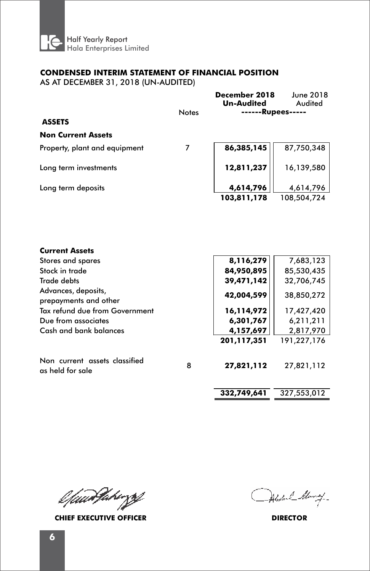

### **CONDENSED INTERIM STATEMENT OF FINANCIAL POSITION**

AS AT DECEMBER 31, 2018 (UN-AUDITED)

|                               |              | December 2018<br><b>Un-Audited</b> | June 2018<br>Audited |
|-------------------------------|--------------|------------------------------------|----------------------|
|                               | <b>Notes</b> |                                    | <b>Rupees-</b>       |
| <b>ASSETS</b>                 |              |                                    |                      |
| <b>Non Current Assets</b>     |              |                                    |                      |
| Property, plant and equipment |              | 86,385,145                         | 87,750,348           |
| Long term investments         |              | 12,811,237                         | 16,139,580           |
| Long term deposits            |              | 4,614,796                          | 4,614,796            |
|                               |              | 103,811,178                        | 108,504,724          |

| <b>Current Assets</b>                             |   |             |             |
|---------------------------------------------------|---|-------------|-------------|
| Stores and spares                                 |   | 8,116,279   | 7,683,123   |
| Stock in trade                                    |   | 84,950,895  | 85,530,435  |
| Trade debts                                       |   | 39,471,142  | 32,706,745  |
| Advances, deposits,<br>prepayments and other      |   | 42,004,599  | 38,850,272  |
| Tax refund due from Government                    |   | 16,114,972  | 17,427,420  |
| Due from associates                               |   | 6,301,767   | 6,211,211   |
| Cash and bank balances                            |   | 4,157,697   | 2,817,970   |
|                                                   |   | 201,117,351 | 191,227,176 |
| Non current assets classified<br>as held for sale | 8 | 27,821,112  | 27,821,112  |
|                                                   |   | 332,749,641 | 327,553,012 |

l faarFakingsf

**CHIEF EXECUTIVE OFFICER DIRECTOR**

Abstral Many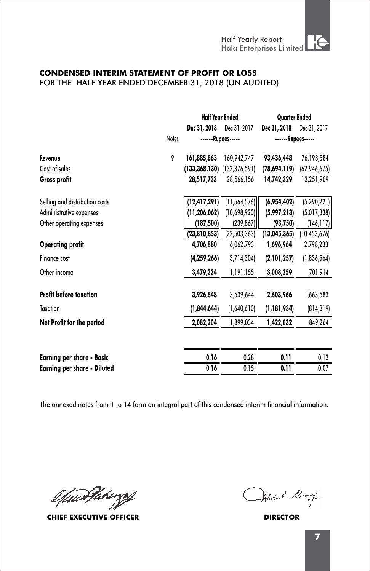#### **CONDENSED INTERIM STATEMENT OF PROFIT OR LOSS**  FOR THE HALF YEAR ENDED DECEMBER 31, 2018 (UN AUDITED)

|                                    |       | <b>Half Year Ended</b> |                                 | <b>Quarter Ended</b> |                |
|------------------------------------|-------|------------------------|---------------------------------|----------------------|----------------|
|                                    |       | Dec 31, 2018           | Dec 31, 2017                    | Dec 31, 2018         | Dec 31, 2017   |
|                                    | Notes |                        | ------Rupees-----               | ------Rupees-----    |                |
| Revenue                            | 9     | 161,885,863            | 160,942,747                     | 93,436,448           | 76,198,584     |
| Cost of sales                      |       |                        | $(133,368,130)$ $(132,376,591)$ | (78,694,119)         | (62,946,675)   |
| Gross profit                       |       | 28,517,733             | 28,566,156                      | 14,742,329           | 13,251,909     |
| Selling and distribution costs     |       | (12, 417, 291)         | (11, 564, 576)                  | (6,954,402)          | (5, 290, 221)  |
| Administrative expenses            |       | (11, 206, 062)         | (10,698,920)                    | (5,997,213)          | (5,017,338)    |
| Other operating expenses           |       | (187, 500)             | (239, 867)                      | (93, 750)            | (146, 117)     |
|                                    |       | (23,810,853)           | (22, 503, 363)                  | (13,045,365)         | (10, 453, 676) |
| <b>Operating profit</b>            |       | 4,706,880              | 6,062,793                       | 1,696,964            | 2,798,233      |
| Finance cost                       |       | (4, 259, 266)          | (3,714,304)                     | (2,101,257)          | (1,836,564)    |
| Other income                       |       | 3,479,234              | 1,191,155                       | 3,008,259            | 701,914        |
| <b>Profit before taxation</b>      |       | 3,926,848              | 3,539,644                       | 2,603,966            | 1,663,583      |
| Taxation                           |       | (1,844,644)            | (1,640,610)                     | (1, 181, 934)        | (814, 319)     |
| Net Profit for the period          |       | 2,082,204              | 1,899,034                       | 1,422,032            | 849,264        |
|                                    |       |                        |                                 |                      |                |
| <b>Earning per share - Basic</b>   |       | 0.16                   | 0.28                            | 0.11                 | 0.12           |
| <b>Earning per share - Diluted</b> |       | 0.16                   | 0.15                            | 0.11                 | 0.07           |
|                                    |       |                        |                                 |                      |                |

l*fuur*Vakingsf

**CHIEF EXECUTIVE OFFICER DIRECTOR**

Abstral Alanay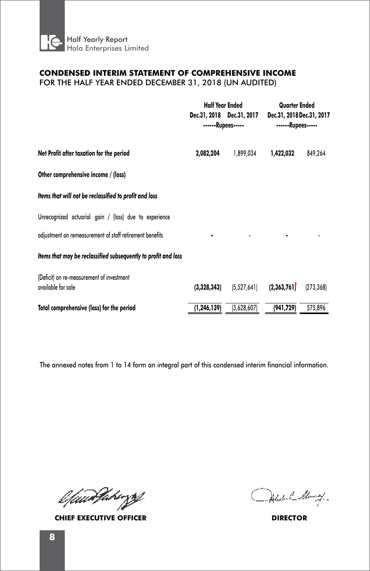

# **CONDENSED INTERIM STATEMENT OF COMPREHENSIVE INCOME**

FOR THE HALF YEAR ENDED DECEMBER 31, 2018 (UN AUDITED)

|                                                                 | <b>Half Year Ended</b> |                                                | <b>Quarter Ended</b>                           |            |  |
|-----------------------------------------------------------------|------------------------|------------------------------------------------|------------------------------------------------|------------|--|
|                                                                 |                        | Dec.31, 2018 Dec.31, 2017<br>------Rupees----- | Dec.31, 2018 Dec.31, 2017<br>------Rupees----- |            |  |
| Net Profit after taxation for the period                        | 2,082,204              | 1,899,034                                      | 1,422,032                                      | 849,264    |  |
| Other comprehensive income / (loss)                             |                        |                                                |                                                |            |  |
| Items that will not be reclassified to profit and loss          |                        |                                                |                                                |            |  |
| Unrecognized actuarial gain / (loss) due to experience          |                        |                                                |                                                |            |  |
| adjustment on remeasurement of staff retirement benefits        |                        |                                                |                                                |            |  |
| Items that may be reclassified subsequently to profit and loss  |                        |                                                |                                                |            |  |
| (Deficit) on re-measurement of investment<br>available for sale | (3,328,343)            | (5,527,641)                                    | (2,363,761)                                    | (273, 368) |  |
| Total comprehensive (loss) for the period                       | (1,246,139)            | (3,628,607)                                    | (941,729)                                      | 575,896    |  |

l fuurtheringsf

**CHIEF EXECUTIVE OFFICER DIRECTOR**

Alexand Alanay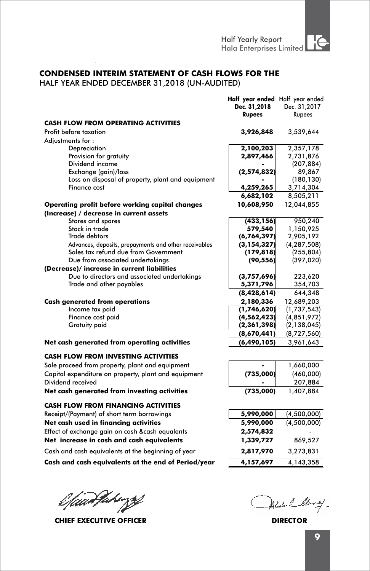### **CONDENSED INTERIM STATEMENT OF CASH FLOWS FOR THE**

HALF YEAR ENDED DECEMBER 31,2018 (UN-AUDITED)

|                                                       | Half year ended Half year ended |               |
|-------------------------------------------------------|---------------------------------|---------------|
|                                                       | Dec. 31,2018                    | Dec. 31,2017  |
|                                                       | <b>Rupees</b>                   | Rupees        |
| <b>CASH FLOW FROM OPERATING ACTIVITIES</b>            |                                 |               |
| Profit before taxation                                | 3,926,848                       | 3,539,644     |
| Adjustments for:                                      |                                 |               |
| Depreciation                                          | 2,100,203                       | 2,357,178     |
| Provision for gratuity                                | 2,897,466                       | 2,731,876     |
| Dividend income                                       |                                 | (207, 884)    |
| Exchange (gain)/loss                                  | (2,574,832)                     | 89,867        |
| Loss on disposal of property, plant and equipment     |                                 | (180, 130)    |
| Finance cost                                          | 4,259,265                       | 3,714,304     |
|                                                       | 6,682,102                       | 8,505,211     |
| Operating profit before working capital changes       | 10,608,950                      | 12,044,855    |
| (Increase) / decrease in current assets               |                                 |               |
| Stores and spares                                     | (433, 156)                      | 950,240       |
| Stock in trade                                        | 579,540                         | 1,150,925     |
| <b>Trade debtors</b>                                  | (6,764,397)                     | 2,905,192     |
| Advances, deposits, prepayments and other receivables | (3, 154, 327)                   | (4, 287, 508) |
| Sales tax refund due from Government                  | (179, 818)                      | (255, 804)    |
| Due from associated undertakings                      | (90, 556)                       | (397, 020)    |
| (Decrease)/ increase in current liabilities           |                                 |               |
| Due to directors and associated undertakings          | (3,757,696)                     | 223,620       |
| Trade and other payables                              | 5,371,796                       | 354,703       |
|                                                       | (8,428,614)                     | 644,348       |
| <b>Cash generated from operations</b>                 | 2,180,336                       | 12,689,203    |
| Income tax paid                                       | (1,746,620)                     | (1,737,543)   |
| Finance cost paid                                     | (4, 562, 423)                   | (4, 851, 972) |
| <b>Gratuity paid</b>                                  | (2,361,398)                     | (2, 138, 045) |
|                                                       | (8,670,441)                     | (8,727,560)   |
| Net cash generated from operating activities          | (6, 490, 105)                   | 3,961,643     |
|                                                       |                                 |               |
| <b>CASH FLOW FROM INVESTING ACTIVITIES</b>            |                                 |               |
| Sale proceed from property, plant and equipment       |                                 | 1,660,000     |
| Capital expenditure on property, plant and equipment  | (735,000)                       | (460,000)     |
| Dividend received                                     |                                 | 207,884       |
| Net cash generated from investing activities          | (735,000)                       | 1,407,884     |
| <b>CASH FLOW FROM FINANCING ACTIVITIES</b>            |                                 |               |
| Receipt/(Payment) of short term borrowings            | 5,990,000                       | (4,500,000)   |
| Net cash used in financing activities                 | 5,990,000                       | (4,500,000)   |
| Effect of exchange gain on cash &cash equalents       | 2,574,832                       |               |
| Net increase in cash and cash equivalents             |                                 |               |
|                                                       | 1,339,727                       | 869,527       |
| Cash and cash equivalents at the beginning of year    | 2,817,970                       | 3,273,831     |
| Cash and cash equivalents at the end of Period/year   | 4,157,697                       | 4,143,358     |

l faad fahirze

**CHIEF EXECUTIVE OFFICER DIRECTOR**

Under L. M 7-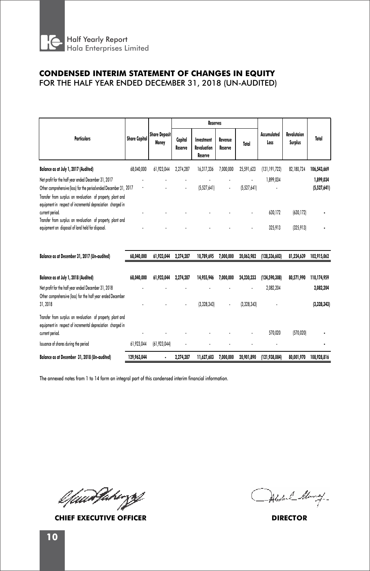

# **CONDENSED INTERIM STATEMENT OF CHANGES IN EQUITY**

FOR THE HALF YEAR ENDED DECEMBER 31, 2018 (UN-AUDITED)

|                                                                                                                            |                      |                               |                    | <b>Reserves</b>                      |                    |             |                     |                               |             |
|----------------------------------------------------------------------------------------------------------------------------|----------------------|-------------------------------|--------------------|--------------------------------------|--------------------|-------------|---------------------|-------------------------------|-------------|
| <b>Particulars</b>                                                                                                         | <b>Share Capital</b> | <b>Share Deposit</b><br>Money | Capital<br>Reserve | Investment<br>Revaluation<br>Reserve | Revenue<br>Reserve | Total       | Accumulated<br>Loss | Revalutaion<br><b>Surplus</b> | Total       |
| Balance as at July 1, 2017 (Audited)                                                                                       | 68.040.000           | 61,923,044                    | 2,274,287          | 16,317,336                           | 7,000,000          | 25,591,623  | (131, 191, 722)     | 82,180,724                    | 106,543,669 |
| Net profit for the half year ended December 31, 2017                                                                       |                      |                               |                    |                                      |                    | ٠           | 1,899,034           |                               | 1,899,034   |
| Other comprehensive (loss) for the period ended December 31, 2017                                                          | ٠                    | ٠                             | ٠                  | (5,527,641)                          | $\cdot$            | (5,527,641) |                     |                               | (5,527,641) |
| Transfer from surplus on revaluation of property, plant and<br>equipment in respect of incremental depreciation charged in |                      |                               |                    |                                      |                    |             |                     |                               |             |
| current period.                                                                                                            |                      |                               |                    |                                      |                    | ٠           | 630,172             | (630, 172)                    |             |
| Transfer from surplus on revaluation of property, plant and                                                                |                      |                               |                    |                                      |                    |             |                     |                               |             |
| equipment on disposal of land held for disposal.                                                                           |                      |                               |                    |                                      |                    | ٠           | 325,913             | (325, 913)                    |             |
|                                                                                                                            |                      |                               |                    |                                      |                    |             |                     |                               |             |

| Balance as at December 31, 2017 (Un-audited)                                                                               | 68,040,000  | 61,923,044     | 2.274.287 | 10.789.695  | 7,000,000 | 20.063.982  | (128.336.603)   | 81.224.639 | 102.915.062 |
|----------------------------------------------------------------------------------------------------------------------------|-------------|----------------|-----------|-------------|-----------|-------------|-----------------|------------|-------------|
|                                                                                                                            |             |                |           |             |           |             |                 |            |             |
| Balance as at July 1, 2018 (Audited)                                                                                       | 68,040,000  | 61,923,044     | 2.274.287 | 14,955,946  | 7,000,000 | 24.230.233  | (124, 590, 308) | 80,571,990 | 110,174,959 |
| Net profit for the half year ended December 31, 2018                                                                       |             |                |           |             |           | ٠           | 2,082,204       |            | 2,082,204   |
| Other comprehensive (loss) for the half year ended December<br>31.2018                                                     |             |                | ٠         | (3,328,343) |           | (3,328,343) |                 |            | (3,328,343) |
| Transfer from surplus on revaluation of property, plant and<br>equipment in respect of incremental depreciation charged in |             |                |           |             |           |             |                 |            |             |
| current period.                                                                                                            |             |                |           |             |           | ٠           | 570.020         | (570, 020) |             |
| Issuance of shares during the period                                                                                       | 61.923.044  | (61, 923, 044) | ٠         |             |           |             | ٠               |            |             |
| Balance as at December 31, 2018 (Un-audited)                                                                               | 129,963,044 | ٠              | 2.274.287 | 11,627,603  | 7,000,000 | 20,901,890  | (121.938.084)   | 80,001,970 | 108,928,816 |

l fuurtheringsf

**CHIEF EXECUTIVE OFFICER DIRECTOR**

Alexand Alang-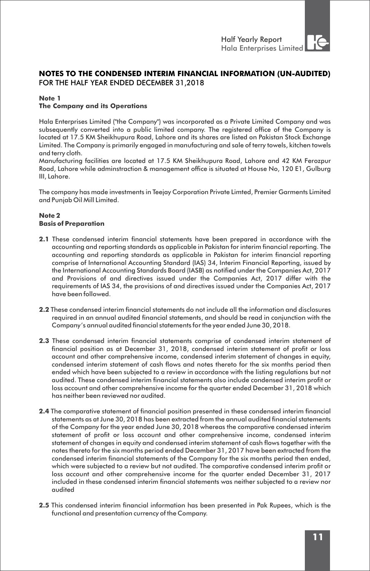### **NOTES TO THE CONDENSED INTERIM FINANCIAL INFORMATION (UN-AUDITED)** FOR THE HALF YEAR ENDED DECEMBER 31,2018

#### **Note 1**

#### **The Company and its Operations**

Hala Enterprises Limited ("the Company") was incorporated as a Private Limited Company and was subsequently converted into a public limited company. The registered office of the Company is located at 17.5 KM Sheikhupura Road, Lahore and its shares are listed on Pakistan Stock Exchange Limited. The Company is primarily engaged in manufacturing and sale of terry towels, kitchen towels and terry cloth.

Manufacturing facilities are located at 17.5 KM Sheikhupura Road, Lahore and 42 KM Ferozpur Road, Lahore while adminstraction & management office is situated at House No, 120 E1, Gulburg III, Lahore.

The company has made investments in Teejay Corporation Private Limted, Premier Garments Limited and Punjab Oil Mill Limited.

#### **Note 2 Basis of Preparation**

- **2.1** These condensed interim financial statements have been prepared in accordance with the accounting and reporting standards as applicable in Pakistan for interim financial reporting. The accounting and reporting standards as applicable in Pakistan for interim financial reporting comprise of International Accounting Standard (IAS) 34, Interim Financial Reporting, issued by the International Accounting Standards Board (IASB) as notified under the Companies Act, 2017 and Provisions of and directives issued under the Companies Act, 2017 differ with the requirements of IAS 34, the provisions of and directives issued under the Companies Act, 2017 have been followed.
- **2.2** These condensed interim financial statements do not include all the information and disclosures required in an annual audited financial statements, and should be read in conjunction with the Company's annual audited financial statements for the year ended June 30, 2018.
- **2.3** These condensed interim financial statements comprise of condensed interim statement of financial position as at December 31, 2018, condensed interim statement of profit or loss account and other comprehensive income, condensed interim statement of changes in equity, condensed interim statement of cash flows and notes thereto for the six months period then ended which have been subjected to a review in accordance with the listing regulations but not audited. These condensed interim financial statements also include condensed interim profit or loss account and other comprehensive income for the quarter ended December 31, 2018 which has neither been reviewed nor audited.
- **2.4** The comparative statement of financial position presented in these condensed interim financial statements as at June 30, 2018 has been extracted from the annual audited financial statements of the Company for the year ended June 30, 2018 whereas the comparative condensed interim statement of profit or loss account and other comprehensive income, condensed interim statement of changes in equity and condensed interim statement of cash flows together with the notes thereto for the six months period ended December 31, 2017 have been extracted from the condensed interim financial statements of the Company for the six months period then ended, which were subjected to a review but not audited. The comparative condensed interim profit or loss account and other comprehensive income for the quarter ended December 31, 2017 included in these condensed interim financial statements was neither subjected to a review nor audited
- **2.5** This condensed interim financial information has been presented in Pak Rupees, which is the functional and presentation currency of the Company.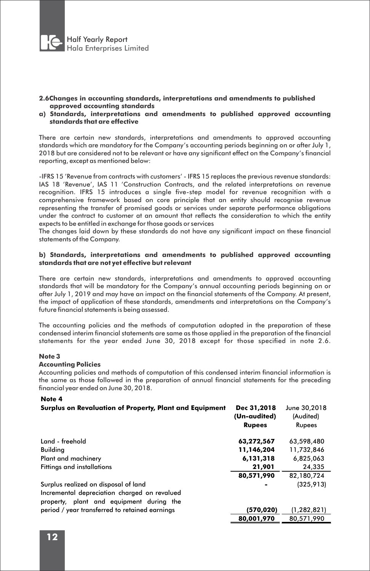

#### **2.6Changes in accounting standards, interpretations and amendments to published approved accounting standards**

**a) Standards, interpretations and amendments to published approved accounting standards that are effective**

There are certain new standards, interpretations and amendments to approved accounting standards which are mandatory for the Company's accounting periods beginning on or after July 1, 2018 but are considered not to be relevant or have any significant effect on the Company's financial reporting, except as mentioned below:

-IFRS 15 'Revenue from contracts with customers' - IFRS 15 replaces the previous revenue standards: IAS 18 'Revenue', IAS 11 'Construction Contracts, and the related interpretations on revenue recognition. IFRS 15 introduces a single five-step model for revenue recognition with a comprehensive framework based on core principle that an entity should recognise revenue representing the transfer of promised goods or services under separate performance obligations under the contract to customer at an amount that reflects the consideration to which the entity expects to be entitled in exchange for those goods or services

The changes laid down by these standards do not have any significant impact on these financial statements of the Company.

#### **b) Standards, interpretations and amendments to published approved accounting standards that are not yet effective but relevant**

There are certain new standards, interpretations and amendments to approved accounting standards that will be mandatory for the Company's annual accounting periods beginning on or after July 1, 2019 and may have an impact on the financial statements of the Company. At present, the impact of application of these standards, amendments and interpretations on the Company's future financial statements is being assessed.

The accounting policies and the methods of computation adopted in the preparation of these condensed interim financial statements are same as those applied in the preparation of the financial statements for the year ended June 30, 2018 except for those specified in note 2.6.

#### **Note 3**

#### **Accounting Policies**

Accounting policies and methods of computation of this condensed interim financial information is the same as those followed in the preparation of annual financial statements for the preceding financial year ended on June 30, 2018.

#### **Note 4**

| Surplus on Revaluation of Property, Plant and Equipment                                                                          | Dec 31.2018<br>(Un-audited)<br><b>Rupees</b> | June 30.2018<br>(Audited)<br>Rupees |
|----------------------------------------------------------------------------------------------------------------------------------|----------------------------------------------|-------------------------------------|
| Land - freehold                                                                                                                  | 63,272,567                                   | 63,598,480                          |
| Building                                                                                                                         | 11,146,204                                   | 11,732,846                          |
| Plant and machinery                                                                                                              | 6,131,318                                    | 6,825,063                           |
| Fittings and installations                                                                                                       | 21,901                                       | 24,335                              |
|                                                                                                                                  | 80,571,990                                   | 82,180,724                          |
| Surplus realized on disposal of land<br>Incremental depreciation charged on revalued<br>property, plant and equipment during the |                                              | (325, 913)                          |
| period / year transferred to retained earnings                                                                                   | (570,020)                                    | (1, 282, 821)                       |
|                                                                                                                                  | 80,001,970                                   | 80,571,990                          |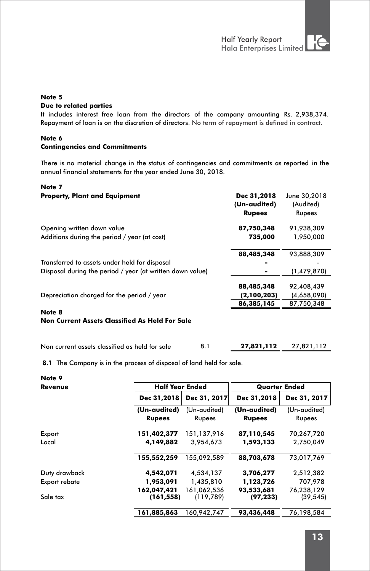# **Note 5**

#### **Due to related parties**

It includes interest free loan from the directors of the company amounting Rs. 2,938,374. Repayment of loan is on the discretion of directors. No term of repayment is defined in contract.

#### **Note 6 Contingencies and Commitments**

There is no material change in the status of contingencies and commitments as reported in the annual financial statements for the year ended June 30, 2018.

#### **Note 7**

| <b>Property, Plant and Equipment</b>                      | Dec 31,2018<br>(Un-audited) | June 30,2018<br>(Audited) |
|-----------------------------------------------------------|-----------------------------|---------------------------|
|                                                           | <b>Rupees</b>               | Rupees                    |
| Opening written down value                                | 87,750,348                  | 91,938,309                |
| Additions during the period / year (at cost)              | 735,000                     | 1,950,000                 |
|                                                           | 88,485,348                  | 93,888,309                |
| Transferred to assets under held for disposal             |                             |                           |
| Disposal during the period / year (at written down value) |                             | (1,479,870)               |
|                                                           | 88,485,348                  | 92,408,439                |
| Depreciation charged for the period / year                | (2,100,203)                 | (4,658,090)               |
|                                                           | 86,385,145                  | 87,750,348                |
| Note 8                                                    |                             |                           |
| <b>Non Current Assets Classified As Held For Sale</b>     |                             |                           |
|                                                           |                             |                           |

| Non current assets classified as held for sale | 27,821,112 | 27,821,112 |
|------------------------------------------------|------------|------------|
|                                                |            |            |

**8.1** The Company is in the process of disposal of land held for sale.

| Note 9        |                           |                           |                         |                         |
|---------------|---------------------------|---------------------------|-------------------------|-------------------------|
| Revenue       | <b>Half Year Ended</b>    |                           | <b>Quarter Ended</b>    |                         |
|               | Dec 31,2018               | Dec 31, 2017              | Dec 31,2018             | Dec 31, 2017            |
|               | (Un-audited)              | (Un-audited)              | (Un-audited)            | (Un-audited)            |
|               | <b>Rupees</b>             | Rupees                    | <b>Rupees</b>           | Rupees                  |
| Export        | 151,402,377               | 151,137,916               | 87,110,545              | 70,267,720              |
| Local         | 4,149,882                 | 3,954,673                 | 1,593,133               | 2,750,049               |
|               | 155,552,259               | 155,092,589               | 88,703,678              | 73,017,769              |
| Duty drawback | 4,542,071                 | 4,534,137                 | 3,706,277               | 2,512,382               |
| Export rebate | 1,953,091                 | 1,435,810                 | 1,123,726               | 707,978                 |
| Sale tax      | 162,047,421<br>(161, 558) | 161,062,536<br>(119, 789) | 93,533,681<br>(97, 233) | 76,238,129<br>(39, 545) |
|               | 161,885,863               | 160,942,747               | 93,436,448              | 76,198,584              |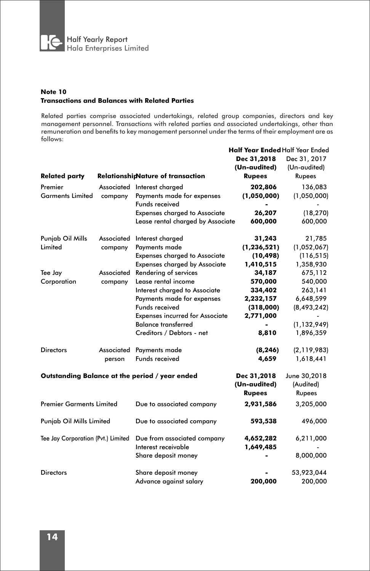

#### **Note 10 Transactions and Balances with Related Parties**

Related parties comprise associated undertakings, related group companies, directors and key management personnel. Transactions with related parties and associated undertakings, other than remuneration and benefits to key management personnel under the terms of their employment are as follows:

|                                    |            |                                                | <b>Half Year Ended Half Year Ended</b><br>Dec 31,2018 | Dec 31, 2017                        |
|------------------------------------|------------|------------------------------------------------|-------------------------------------------------------|-------------------------------------|
|                                    |            |                                                | (Un-audited)<br><b>Rupees</b>                         | (Un-audited)<br>Rupees              |
| <b>Related party</b>               |            | <b>RelationshipNature of transaction</b>       |                                                       |                                     |
| Premier                            |            | Associated Interest charged                    | 202,806                                               | 136,083                             |
| <b>Garments Limited</b>            | company    | Payments made for expenses                     | (1,050,000)                                           | (1,050,000)                         |
|                                    |            | Funds received                                 |                                                       |                                     |
|                                    |            | <b>Expenses charged to Associate</b>           | 26,207                                                | (18, 270)                           |
|                                    |            | Lease rental charged by Associate              | 600,000                                               | 600,000                             |
| Punjab Oil Mills                   | Associated | Interest charged                               | 31,243                                                | 21,785                              |
| Limited                            | company    | Payments made                                  | (1, 236, 521)                                         | (1,052,067)                         |
|                                    |            | <b>Expenses charged to Associate</b>           | (10, 498)                                             | (116, 515)                          |
|                                    |            | <b>Expenses charged by Associate</b>           | 1,410,515                                             | 1,358,930                           |
| Tee Jay                            | Associated | Rendering of services                          | 34,187                                                | 675,112                             |
| Corporation                        | company    | Lease rental income                            | 570,000                                               | 540,000                             |
|                                    |            | Interest charged to Associate                  | 334,402                                               | 263,141                             |
|                                    |            | Payments made for expenses                     | 2,232,157                                             | 6,648,599                           |
|                                    |            | Funds received                                 | (318,000)                                             | (8, 493, 242)                       |
|                                    |            | <b>Expenses incurred for Associate</b>         | 2,771,000                                             |                                     |
|                                    |            | <b>Balance transferred</b>                     |                                                       | (1, 132, 949)                       |
|                                    |            | Creditors / Debtors - net                      | 8,810                                                 | 1,896,359                           |
| <b>Directors</b>                   | Associated | Payments made                                  | (8, 246)                                              | (2, 119, 983)                       |
|                                    | person     | Funds received                                 | 4,659                                                 | 1,618,441                           |
|                                    |            |                                                |                                                       |                                     |
|                                    |            | Outstanding Balance at the period / year ended | Dec 31,2018<br>(Un-audited)<br><b>Rupees</b>          | June 30,2018<br>(Audited)<br>Rupees |
| <b>Premier Garments Limited</b>    |            |                                                | 2,931,586                                             | 3,205,000                           |
|                                    |            | Due to associated company                      |                                                       |                                     |
| Punjab Oil Mills Limited           |            | Due to associated company                      | 593,538                                               | 496,000                             |
| Tee Jay Corporation (Pvt.) Limited |            | Due from associated company                    | 4,652,282                                             | 6,211,000                           |
|                                    |            | Interest receivable                            | 1,649,485                                             |                                     |
|                                    |            | Share deposit money                            |                                                       | 8,000,000                           |
| <b>Directors</b>                   |            | Share deposit money                            |                                                       | 53,923,044                          |
|                                    |            | Advance against salary                         | 200,000                                               | 200,000                             |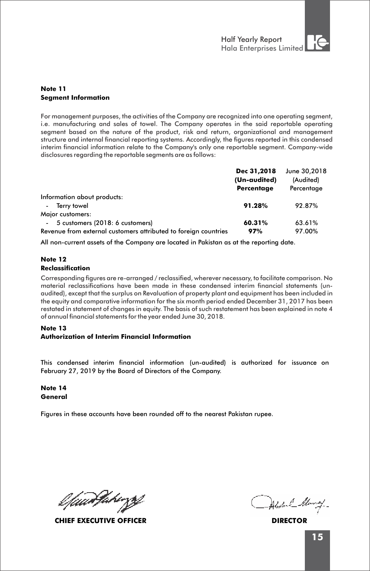#### **Note 11 Segment Information**

For management purposes, the activities of the Company are recognized into one operating segment, i.e. manufacturing and sales of towel. The Company operates in the said reportable operating segment based on the nature of the product, risk and return, organizational and management structure and internal financial reporting systems. Accordingly, the figures reported in this condensed interim financial information relate to the Company's only one reportable segment. Company-wide disclosures regarding the reportable segments are as follows:

|                                                                 | Dec 31.2018  | June 30,2018 |
|-----------------------------------------------------------------|--------------|--------------|
|                                                                 | (Un-audited) | (Audited)    |
|                                                                 | Percentage   | Percentage   |
| Information about products:                                     |              |              |
| Terry towel<br>$\sim$                                           | 91.28%       | 92.87%       |
| Major customers:                                                |              |              |
| 5 customers (2018: 6 customers)<br>$\sim$                       | 60.31%       | 63.61%       |
| Revenue from external customers attributed to foreign countries | 97%          | 97.00%       |

All non-current assets of the Company are located in Pakistan as at the reporting date.

#### **Note 12 Reclassification**

Corresponding figures are re-arranged / reclassified, wherever necessary, to facilitate comparison. No material reclassifications have been made in these condensed interim financial statements (unaudited), except that the surplus on Revaluation of property plant and equipment has been included in the equity and comparative information for the six month period ended December 31, 2017 has been restated in statement of changes in equity. The basis of such restatement has been explained in note 4 of annual financial statements for the year ended June 30, 2018.

#### **Note 13**

#### **Authorization of Interim Financial Information**

This condensed interim financial information (un-audited) is authorized for issuance on February 27, 2019 by the Board of Directors of the Company.

**Note 14 General** 

Figures in these accounts have been rounded off to the nearest Pakistan rupee.

lfaanJahirgy

**CHIEF EXECUTIVE OFFICER DIRECTOR**

dul Munay